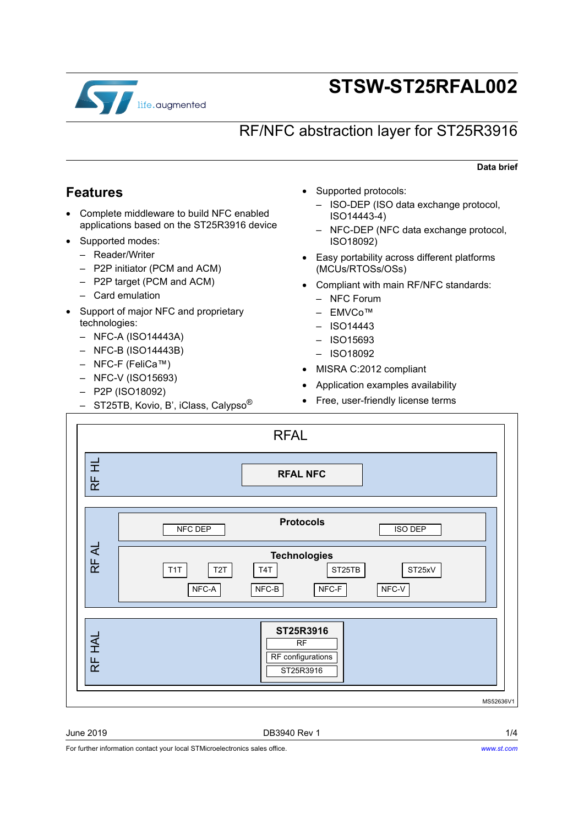

# **STSW-ST25RFAL002**

## RF/NFC abstraction layer for ST25R3916

#### **Data brief**

### **Features**

- Complete middleware to build NFC enabled applications based on the ST25R3916 device
- Supported modes:
	- Reader/Writer
	- P2P initiator (PCM and ACM)
	- P2P target (PCM and ACM)
	- Card emulation
- Support of major NFC and proprietary technologies:
	- NFC-A (ISO14443A)
	- NFC-B (ISO14443B)
	- NFC-F (FeliCa™)
	- NFC-V (ISO15693)
	- P2P (ISO18092)

 $\overline{\phantom{a}}$ 

 $\,$  ST25TB, Kovio, B', iClass, Calypso $^{\circledR}$ 

- Supported protocols:
	- ISO-DEP (ISO data exchange protocol, ISO14443-4)
	- NFC-DEP (NFC data exchange protocol, ISO18092)
- Easy portability across different platforms (MCUs/RTOSs/OSs)
- Compliant with main RF/NFC standards:
	- NFC Forum
	- EMVCo™
	- ISO14443
	- ISO15693
	- ISO18092
- MISRA C:2012 compliant
- Application examples availability
- Free, user-friendly license terms

|        | <b>RFAL</b>                                                                                                                    |
|--------|--------------------------------------------------------------------------------------------------------------------------------|
| RF HL  | <b>RFAL NFC</b>                                                                                                                |
| RF AL  | <b>Protocols</b><br><b>NFC DEP</b><br><b>ISO DEP</b>                                                                           |
|        | <b>Technologies</b><br>ST25TB<br>ST25xV<br>T <sub>1</sub> T<br>T <sub>2</sub> T<br>T4T<br>$NFC-A$<br>$NFC-B$<br>NFC-F<br>NFC-V |
| RF HAL | ST25R3916<br>RF<br>RF configurations<br>ST25R3916                                                                              |
|        | MS52636V1                                                                                                                      |

For further information contact your local STMicroelectronics sales office.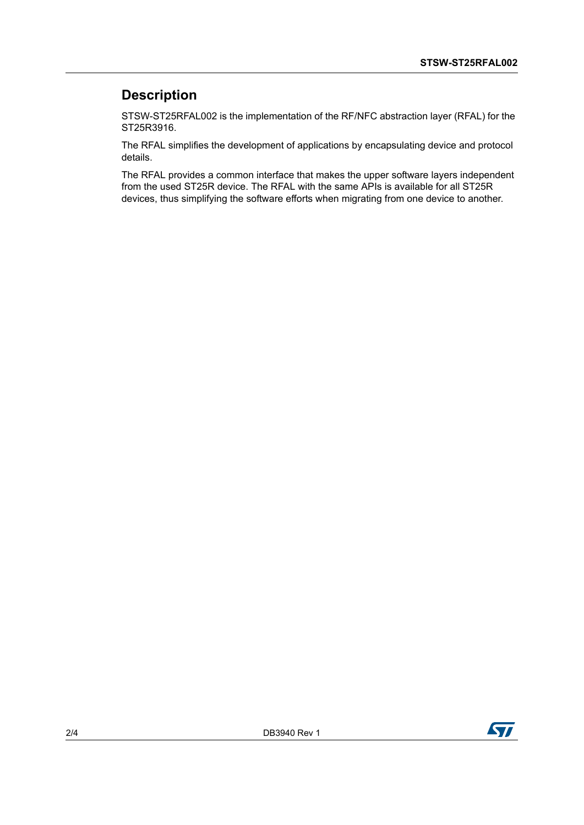## **Description**

STSW-ST25RFAL002 is the implementation of the RF/NFC abstraction layer (RFAL) for the ST25R3916.

The RFAL simplifies the development of applications by encapsulating device and protocol details.

The RFAL provides a common interface that makes the upper software layers independent from the used ST25R device. The RFAL with the same APIs is available for all ST25R devices, thus simplifying the software efforts when migrating from one device to another.

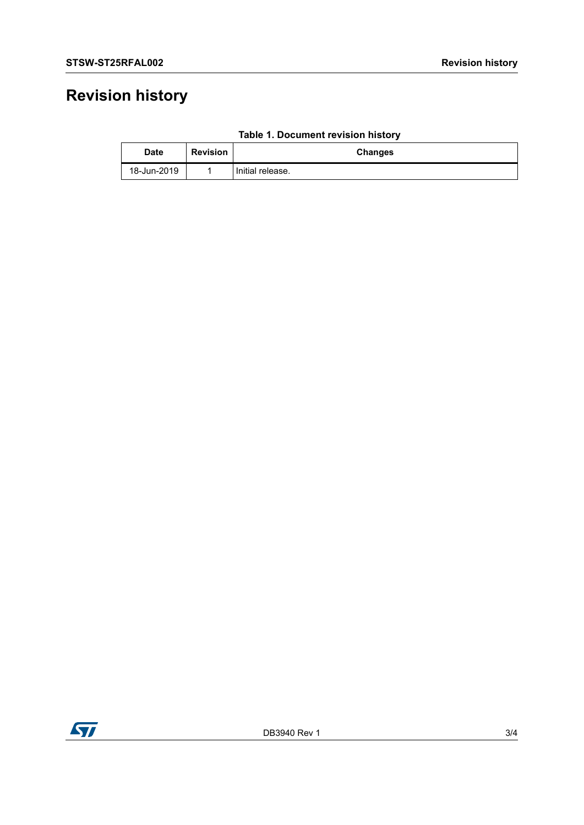# **Revision history**

 $\dagger$ 

| <b>Date</b> | <b>Revision</b> | <b>Changes</b>   |
|-------------|-----------------|------------------|
| 18-Jun-2019 |                 | Initial release. |

#### **Table 1. Document revision history**